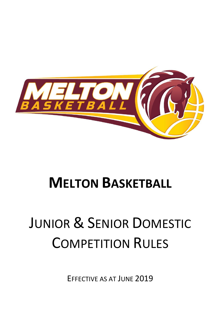

## **MELTON BASKETBALL**

# JUNIOR & SENIOR DOMESTIC COMPETITION RULES

EFFECTIVE AS AT JUNE 2019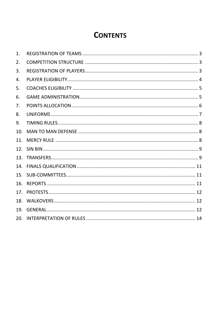### **CONTENTS**

| 1.  |  |
|-----|--|
| 2.  |  |
| 3.  |  |
| 4.  |  |
| 5.  |  |
| 6.  |  |
| 7.  |  |
| 8.  |  |
| 9.  |  |
| 10. |  |
| 11. |  |
| 12. |  |
| 13. |  |
| 14. |  |
| 15. |  |
| 16. |  |
| 17. |  |
| 18. |  |
| 19. |  |
| 20. |  |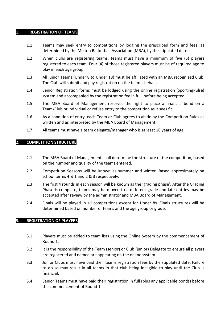#### **1. REGISTRATION OF TEAMS**

- 1.1 Teams may seek entry to competitions by lodging the prescribed form and fees, as determined by the Melton Basketball Association (MBA), by the stipulated date.
- 1.2 When clubs are registering teams, teams must have a minimum of five (5) players registered to each team. Four (4) of those registered players must be of required age to play in each age group.
- 1.3 All junior Teams (Under 8 to Under 18) must be affiliated with an MBA recognised Club. The Club will submit and pay registration on the team's behalf.
- 1.4 Senior Registration forms must be lodged using the online registration (SportingPulse) system and accompanied by the registration fee in full, before being accepted.
- 1.5 The MBA Board of Management reserves the right to place a financial bond on a Team/Club or individual or refuse entry to the competition as it sees fit.
- 1.6 As a condition of entry, each Team or Club agrees to abide by the Competition Rules as written and as interpreted by the MBA Board of Management.
- 1.7 All teams must have a team delegate/manager who is at least 18 years of age.

#### **2. COMPETITION STRUCTURE**

- 2.1 The MBA Board of Management shall determine the structure of the competition, based on the number and quality of the teams entered.
- 2.2 Competition Seasons will be known as summer and winter. Based approximately on school terms 4 & 1 and 2 & 3 respectively.
- 2.3 The first 4 rounds in each season will be known as the 'grading phase'. After the Grading Phase is complete, teams may be moved to a different grade and late entries may be accepted after review by the administrator and MBA Board of Management.
- 2.4 Finals will be played in all competitions except for Under 8s. Finals structures will be determined based on number of teams and the age group or grade.

#### **3. REGISTRATION OF PLAYERS**

- 3.1 Players must be added to team lists using the Online System by the commencement of Round 1.
- 3.2 It is the responsibility of the Team (senior) or Club (junior) Delegate to ensure all players are registered and named are appearing on the online system.
- 3.3 Junior Clubs must have paid their teams registration fees by the stipulated date. Failure to do so may result in all teams in that club being ineligible to play until the Club is financial.
- 3.4 Senior Teams must have paid their registration in full (plus any applicable bonds) before the commencement of Round 1.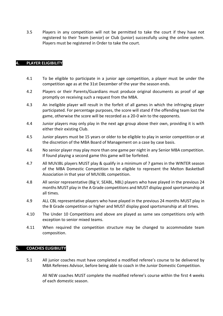3.5 Players in any competition will not be permitted to take the court if they have not registered to their Team (senior) or Club (junior) successfully using the online system. Players must be registered in Order to take the court.

#### **4. PLAYER ELIGIBILITY**

- 4.1 To be eligible to participate in a junior age competition, a player must be under the competition age as at the 31st December of the year the season ends.
- 4.2 Players or their Parents/Guardians must produce original documents as proof of age promptly on receiving such a request from the MBA.
- 4.3 An ineligible player will result in the forfeit of all games in which the infringing player participated. For percentage purposes, the score will stand if the offending team lost the game, otherwise the score will be recorded as a 20-0 win to the opponents.
- 4.4 Junior players may only play in the next age group above their own, providing it is with either their existing Club.
- 4.5 Junior players must be 15 years or older to be eligible to play in senior competition or at the discretion of the MBA Board of Management on a case by case basis.
- 4.6 No senior player may play more than one game per night in any Senior MBA competition. If found playing a second game this game will be forfeited.
- 4.7 All MUVJBL players MUST play & qualify in a minimum of 7 games in the WINTER season of the MBA Domestic Competition to be eligible to represent the Melton Basketball Association in that year of MUVJBL competition.
- 4.8 All senior representative (Big V, SEABL, NBL) players who have played in the previous 24 months MUST play in the A Grade competitions and MUST display good sportsmanship at all times.
- 4.9 ALL CBL representative players who have played in the previous 24 months MUST play in the B Grade competition or higher and MUST display good sportsmanship at all times.
- 4.10 The Under 10 Competitions and above are played as same sex competitions only with exception to senior mixed teams.
- 4.11 When required the competition structure may be changed to accommodate team composition.

#### **5. COACHES ELIGIBILITY**

5.1 All junior coaches must have completed a modified referee's course to be delivered by MBA Referees Advisor, before being able to coach in the Junior Domestic Competition.

All NEW coaches MUST complete the modified referee's course within the first 4 weeks of each domestic season.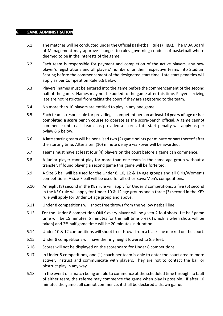#### **6. GAME ADMINISTRATION**

- 6.1 The matches will be conducted under the Official Basketball Rules (FIBA). The MBA Board of Management may approve changes to rules governing conduct of basketball where deemed to be in the interests of the game.
- 6.2 Each team is responsible for payment and completion of the active players, any new player's registrations and all players' numbers for their respective teams into Stadium Scoring before the commencement of the designated start time. Late start penalties will apply as per Competition Rule [6.6 below.](#page-4-0)
- 6.3 Players' names must be entered into the game before the commencement of the second half of the game. Names may not be added to the game after this time. Players arriving late are not restricted from taking the court if they are registered to the team.
- 6.4 No more than 10 players are entitled to play in any one game.
- 6.5 Each team is responsible for providing a competent person **at least 14 years of age or has completed a score bench course** to operate as the score-bench official. A game cannot commence until each team has provided a scorer. Late start penalty will apply as per bylaw [6.6 below.](#page-4-0)
- <span id="page-4-0"></span>6.6 A late starting team will be penalised two (2) game points per minute or part thereof after the starting time. After a ten (10) minute delay a walkover will be awarded.
- 6.7 Teams must have at least four (4) players on the court before a game can commence.
- 6.8 A junior player cannot play for more than one team in the same age group without a transfer. If found playing a second game this game will be forfeited.
- 6.9 A Size 6 ball will be used for the Under 8, 10, 12 & 14 age groups and all Girls/Women's competitions. A size 7 ball will be used for all other Boys/Men's competitions.
- 6.10 An eight (8) second in the KEY rule will apply for Under 8 competitions, a five (5) second in the KEY rule will apply for Under 10 & 12 age groups and a three (3) second in the KEY rule will apply for Under 14 age group and above.
- 6.11 Under 8 competitions will shoot free throws from the yellow netball line.
- 6.13 For the Under 8 competition ONLY every player will be given 2 foul shots. 1st half game time will be 15 minutes, 5 minutes for the half time break (which is when shots will be taken) and 2<sup>nd</sup> half game time will be 20 minutes in duration.
- 6.14 Under 10 & 12 competitions will shoot free throws from a black line marked on the court.
- 6.15 Under 8 competitions will have the ring height lowered to 8.5 feet.
- 6.16 Scores will not be displayed on the scoreboard for Under 8 competitions.
- 6.17 In Under 8 competitions, one (1) coach per team is able to enter the court area to more actively instruct and communicate with players. They are not to contact the ball or obstruct play in any way.
- 6.18 In the event of a match being unable to commence at the scheduled time through no fault of either team, the referee may commence the game when play is possible. If after 10 minutes the game still cannot commence, it shall be declared a drawn game.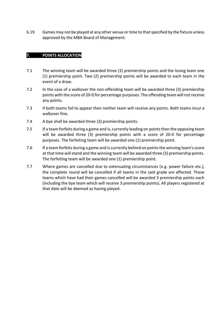6.19 Games may not be played at any other venue or time to that specified by the fixture unless approved by the MBA Board of Management.

#### **7. POINTS ALLOCATION**

- 7.1 The winning team will be awarded three (3) premiership points and the losing team one (1) premiership point. Two (2) premiership points will be awarded to each team in the event of a draw.
- 7.2 In the case of a walkover the non-offending team will be awarded three (3) premiership points with the score of 20-0 for percentage purposes. The offending team will not receive any points.
- 7.3 If both teams fail to appear then neither team will receive any points. Both teams incur a walkover fine.
- 7.4 A bye shall be awarded three (3) premiership points.
- 7.5 If a team forfeits during a game and is, currently leading on points then the opposing team will be awarded three (3) premiership points with a score of 20-0 for percentage purposes. The forfeiting team will be awarded one (1) premiership point.
- 7.6 If a team forfeits during a game and is currently behind on points the winning team's score at that time will stand and the winning team will be awarded three (3) premiership points. The forfeiting team will be awarded one (1) premiership point.
- 7.7 Where games are cancelled due to extenuating circumstances (e.g. power failure etc.), the complete round will be cancelled if all teams in the said grade are affected. Those teams which have had their games cancelled will be awarded 3 premiership points each (including the bye team which will receive 3 premiership points). All players registered at that date will be deemed as having played.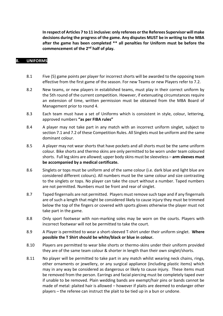**In respect of Articles 7 to 11 inclusive: only referees or the Referees Supervisor will make decisions during the progress of the game. Any disputes MUST be in writing to the MBA after the game has been completed \*\* all penalties for Uniform must be before the commencement of the 2nd half of play.**

#### **8. UNIFORMS**

- 8.1 Five (5) game points per player for incorrect shorts will be awarded to the opposing team effective from the first game of the season. For new Teams or new Players refer to 7.2.
- 8.2 New teams, or new players in established teams, must play in their correct uniform by the 5th round of the current competition. However, if extenuating circumstances require an extension of time, written permission must be obtained from the MBA Board of Management prior to round 4.
- 8.3 Each team must have a set of Uniforms which is consistent in style, colour, lettering, approved numbers **"as per FIBA rules"**
- 8.4 A player may not take part in any match with an incorrect uniform singlet, subject to section 7.1 and 7.2 of these Competition Rules. All Singlets must be uniform and the same dominant colour.
- 8.5 A player may not wear shorts that have pockets and all shorts must be the same uniform colour. Bike shorts and thermo skins are only permitted to be worn under team coloured shorts. Full leg skins are allowed; upper body skins must be sleeveless – **arm sleeves must be accompanied by a medical certificate.**
- 8.6 Singlets or tops must be uniform and of the same colour (i.e. dark blue and light blue are considered different colours). All numbers must be the same colour and size contrasting to the singlets or tops. No player can take the court without a number. Taped numbers are not permitted. Numbers must be front and rear of singlet.
- 8.7 Taped fingernails are not permitted. Players must remove such tape and if any fingernails are of such a length that might be considered likely to cause injury they must be trimmed below the top of the fingers or covered with sports gloves otherwise the player must not take part in the game.
- 8.8 Only sport footwear with non-marking soles may be worn on the courts. Players with incorrect footwear will not be permitted to take the court.
- 8.9 A Player is permitted to wear a short-sleeved T-shirt under their uniform singlet. **Where possible the T Shirt should be white/black or blue in colour.**
- 8.10 Players are permitted to wear bike shorts or thermo-skins under their uniform provided they are of the same team colour & shorter in length than their own singlet/shorts.
- 8.11 No player will be permitted to take part in any match whilst wearing neck chains, rings, other ornaments or jewellery, or any surgical appliance (including plastic items) which may in any way be considered as dangerous or likely to cause injury. These items must be removed from the person. Earrings and facial piercing must be completely taped over if unable to be removed. Plain wedding bands are exempt/hair pins or bands cannot be made of metal: plaited hair is allowed – however if plaits are deemed to endanger other players – the referee can instruct the plait to be tied up in a bun or undone.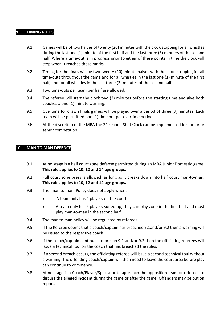#### **9. TIMING RULES**

- 9.1 Games will be of two halves of twenty (20) minutes with the clock stopping for all whistles during the last one (1) minute of the first half and the last three (3) minutes of the second half. Where a time-out is in progress prior to either of these points in time the clock will stop when it reaches these marks.
- 9.2 Timing for the finals will be two twenty (20) minute halves with the clock stopping for all time-outs throughout the game and for all whistles in the last one (1) minute of the first half, and for all whistles in the last three (3) minutes of the second half.
- 9.3 Two time-outs per team per half are allowed.
- 9.4 The referee will start the clock two (2) minutes before the starting time and give both coaches a one (1) minute warning.
- 9.5 Overtime for drawn finals games will be played over a period of three (3) minutes. Each team will be permitted one (1) time out per overtime period.
- 9.6 At the discretion of the MBA the 24 second Shot Clock can be implemented for Junior or senior competition.

#### **10. MAN TO MAN DEFENCE**

- 9.1 At no stage is a half court zone defense permitted during an MBA Junior Domestic game. **This rule applies to 10, 12 and 14 age groups.**
- 9.2 Full court zone press is allowed, as long as it breaks down into half court man-to-man. **This rule applies to 10, 12 and 14 age groups.**
- 9.3 The 'man to man' Policy does not apply when:
	- A team only has 4 players on the court.
	- A team only has 5 players suited up, they can play zone in the first half and must play man-to-man in the second half.
- 9.4 The man to man policy will be regulated by referees.
- 9.5 If the Referee deems that a coach/captain has breached 9.1and/or 9.2 then a warning will be issued to the respective coach.
- 9.6 If the coach/captain continues to breach 9.1 and/or 9.2 then the officiating referees will issue a technical foul on the coach that has breached the rules.
- 9.7 If a second breach occurs, the officiating referee will issue a second technical foul without a warning. The offending coach/captain will then need to leave the court area before play can continue to commence.
- 9.8 At no stage is a Coach/Player/Spectator to approach the opposition team or referees to discuss the alleged incident during the game or after the game. Offenders may be put on report.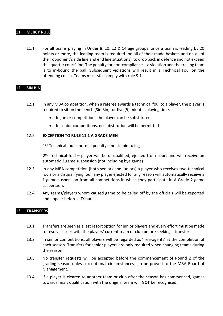#### **11. MERCY RULE**

11.1 For all teams playing in Under 8, 10, 12 & 14 age groups, once a team is leading by 20 points or more, the leading team is required (on all of their made baskets and on all of their opponent's side line and end line situations), to drop back in defence and not exceed the 'quarter court' line. The penalty for non-compliance is a violation and the trailing team is to in-bound the ball. Subsequent violations will result in a Technical Foul on the offending coach. Teams must still comply with rule 9.1.

#### **12. SIN BIN**

- 12.1 In any MBA competition, when a referee awards a technical foul to a player, the player is required to sit on the bench (Sin Bin) for five (5) minutes playing time.
	- In junior competitions the player can be substituted.
	- In senior competitions, no substitution will be permitted

#### 12.2 **EXCEPTION TO RULE 11.1 A GRADE MEN**

 $1<sup>ST</sup>$  Technical foul – normal penalty – no sin bin ruling

2<sup>nd</sup> Technical foul – player will be disqualified, ejected from court and will receive an automatic 2 game suspension (not including bye game)

- 12.3 In any MBA competition (both seniors and juniors) a player who receives two technical fouls or a disqualifying foul, any player ejected for any reason will automatically receive a 1 game suspension from all competitions in which they participate in A Grade 2 game suspension.
- 12.4 Any teams/players whom caused game to be called off by the officials will be reported and appear before a Tribunal.

#### **13. TRANSFERS**

- 13.1 Transfers are seen as a last resort option for junior players and every effort must be made to resolve issues with the players' current team or club before seeking a transfer.
- 13.2 In senior competitions, all players will be regarded as 'free-agents' at the completion of each season. Transfers for senior players are only required when changing teams during the season.
- 13.3 No transfer requests will be accepted before the commencement of Round 2 of the grading season unless exceptional circumstances can be proved to the MBA Board of Management.
- 13.4 If a player is cleared to another team or club after the season has commenced, games towards finals qualification with the original team will **NOT** be recognised.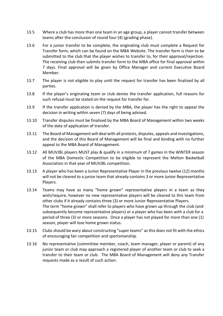- 13.5 Where a club has more than one team in an age group, a player cannot transfer between teams after the conclusion of round four (4) (grading phase).
- 13.6 For a junior transfer to be complete, the originating club must complete a Request for Transfer form, which can be found on the MBA Website. The transfer form is then to be submitted to the club that the player wishes to transfer to, for their approval/rejection. The receiving club then submits transfer form to the MBA office for final approval within 7 days. Final approval will be given by Office Manager and current Executive Board Member.
- 13.7 The player is not eligible to play until the request for transfer has been finalised by all parties.
- 13.8 If the player's originating team or club denies the transfer application, full reasons for such refusal must be stated on the request for transfer for.
- 13.9 If the transfer application is denied by the MBA, the player has the right to appeal the decision in writing within seven (7) days of being advised.
- 13.10 Transfer disputes must be finalised by the MBA Board of Management within two weeks of the date of application of transfer.
- 13.11 The Board of Management will deal with all protests, disputes, appeals and investigations, and the decision of this Board of Management will be final and binding with no further appeal to the MBA Board of Management.
- 13.12 All MUVJBL players MUST play & qualify in a minimum of 7 games in the WINTER season of the MBA Domestic Competition to be eligible to represent the Melton Basketball Association in that year of MUVJBL competition.
- 13.13 A player who has been a Junior Representative Player in the previous twelve (12) months will not be cleared to a junior team that already contains 3 or more Junior Representative Players.
- 13.14 Teams may have as many "home grown" representative players in a team as they wish/require, however no new representative players will be cleared to this team from other clubs if it already contains three (3) or more Junior Representative Players. The term "home grown" shall refer to players who have grown up through the club (and subsequently become representative players) or a player who has been with a club for a period of three (3) or more seasons. Once a player has not played for more than one (1) season, player will lose home grown status.
- 13.15 Clubs should be wary about constructing "super teams" as this does not fit with the ethics of encouraging fair competition and sportsmanship.
- 13.16 No representative (committee member, coach, team manager, player or parent) of any junior team or club may approach a registered player of another team or club to seek a transfer to their team or club. The MBA Board of Management will deny any Transfer requests made as a result of such action.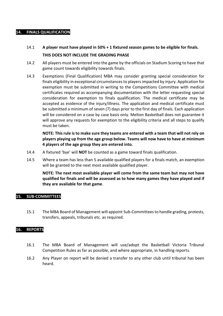#### **14. FINALS QUALIFICATION**

- 14.1 **A player must have played in 50% + 1 fixtured season games to be eligible for finals. THIS DOES NOT INCLUDE THE GRADING PHASE**
- 14.2 All players must be entered into the game by the officials on Stadium Scoring to have that game count towards eligibility towards finals.
- 14.3 Exemptions (Final Qualification) MBA may consider granting special consideration for finals eligibility in exceptional circumstances to players impacted by injury. Application for exemption must be submitted in writing to the Competitions Committee with medical certificates required as accompanying documentation with the letter requesting special consideration for exemption to finals qualification. The medical certificate may be accepted as evidence of the injury/illness. The application and medical certificate must be submitted a minimum of seven (7) days prior to the first day of finals. Each application will be considered on a case by case basis only. Melton Basketball does not guarantee it will approve any requests for exemption to the eligibility criteria and all steps to qualify must be taken.

**NOTE: This rule is to make sure they teams are entered with a team that will not rely on players playing up from the age group below. Teams will now have to have at minimum 4 players of the age group they are entered into.**

- 14.4 A fixtured 'bye' will **NOT** be counted as a game toward finals qualification.
- 14.5 Where a team has less than 5 available qualified players for a finals match, an exemption will be granted to the next most available qualified player.

**NOTE: The next most available player will come from the same team but may not have qualified for finals and will be assessed as to how many games they have played and if they are available for that game**.

#### **15. SUB-COMMITTEES**

15.1 The MBA Board of Management will appoint Sub-Committees to handle grading, protests, transfers, appeals, tribunals etc. as required.

#### **16. REPORTS**

- 16.1 The MBA Board of Management will use/adopt the Basketball Victoria Tribunal Competition Rules as far as possible, and where appropriate, in handling reports.
- 16.2 Any Player on report will be denied a transfer to any other club until tribunal has been heard.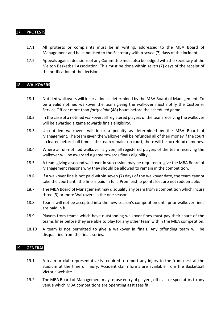#### **17. PROTESTS**

- 17.1 All protests or complaints must be in writing, addressed to the MBA Board of Management and be submitted to the Secretary within *seven* (7) days of the incident.
- 17.2 Appeals against decisions of any Committee must also be lodged with the Secretary of the Melton Basketball Association. This must be done within *seven* (7) days of the receipt of the notification of the decision.

#### **18. WALKOVERS**

- 18.1 Notified walkovers will incur a fine as determined by the MBA Board of Management. To be a valid notified walkover the team giving the walkover must notify the Customer Service Officer more than *forty-eight* (48) hours before the scheduled game.
- 18.2 In the case of a notified walkover, all registered players of the team receiving the walkover will be awarded a game towards finals eligibility.
- 18.3 Un-notified walkovers will incur a penalty as determined by the MBA Board of Management. The team given the walkover will be refunded all of their money if the court is cleared before half time. If the team remains on court, there will be no refund of money.
- 18.4 Where an un-notified walkover is given, all registered players of the team receiving the walkover will be awarded a game towards finals eligibility.
- 18.5 A team giving a second walkover in succession may be required to give the MBA Board of Management reasons why they should be allowed to remain in the competition.
- 18.6 If a walkover fine is not paid within seven (7) days of the walkover date, the team cannot take the court until the fine is paid in full. Premiership points lost are not redeemable.
- 18.7 The MBA Board of Management may disqualify any team from a competition which incurs three (3) or more Walkovers in the one season.
- 18.8 Teams will not be accepted into the new season's competition until prior walkover fines are paid in full.
- 18.9 Players from teams which have outstanding walkover fines must pay their share of the teams fines before they are able to play for any other team within the MBA competition.
- 18.10 A team is not permitted to give a walkover in finals. Any offending team will be disqualified from the finals series.

#### **19. GENERAL**

- 19.1 A team or club representative is required to report any injury to the front desk at the stadium at the time of injury. Accident claim forms are available from the Basketball Victoria website.
- 19.2 The MBA Board of Management may refuse entry of players, officials or spectators to any venue which MBA competitions are operating as it sees fit.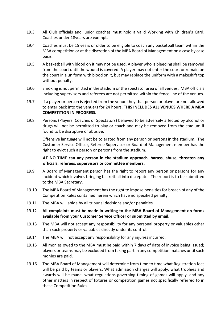- 19.3 All Club officials and junior coaches must hold a valid Working with Children's Card. Coaches under 18years are exempt.
- 19.4 Coaches must be 15 years or older to be eligible to coach any basketball team within the MBA competition or at the discretion of the MBA Board of Management on a case by case basis.
- 19.5 A basketball with blood on it may not be used. A player who is bleeding shall be removed from the court until the wound is covered. A player may not enter the court or remain on the court in a uniform with blood on it, but may replace the uniform with a makeshift top without penalty.
- 19.6 Smoking is not permitted in the stadium or the spectator area of all venues. MBA officials including supervisors and referees are not permitted within the fence line of the venues.
- 19.7 If a player or person is ejected from the venue they that person or player are not allowed to enter back into the venue/s for 24 hours. **THIS INCLUDES ALL VENUES WHERE A MBA COMPETITION IN PROGRESS.**
- 19.8 Persons (Players, Coaches or Spectators) believed to be adversely affected by alcohol or drugs will not be permitted to play or coach and may be removed from the stadium if found to be disruptive or abusive.

Offensive language will not be tolerated from any person or persons in the stadium. The Customer Service Officer, Referee Supervisor or Board of Management member has the right to evict such a person or persons from the stadium.

#### **AT NO TIME can any person in the stadium approach, harass, abuse, threaten any officials, referees, supervisors or committee members.**

- 19.9 A Board of Management person has the right to report any person or persons for any incident which involves bringing basketball into disrepute. The report is to be submitted to the MBA Secretary.
- 19.10 The MBA Board of Management has the right to impose penalties for breach of any of the Competition Rules contained herein which have no specified penalty.
- 19.11 The MBA will abide by all tribunal decisions and/or penalties.
- 19.12 **All complaints must be made in writing to the MBA Board of Management on forms available from your Customer Service Officer or submitted by email.**
- 19.13 The MBA will not accept any responsibility for any personal property or valuables other than such property or valuables directly under its control.
- 19.14 The MBA will not accept any responsibility for any injuries incurred.
- 19.15 All monies owed to the MBA must be paid within 7 days of date of invoice being issued; players or teams may be excluded from taking part in any competition matches until such monies are paid.
- 19.16 The MBA Board of Management will determine from time to time what Registration fees will be paid by teams or players. What admission charges will apply, what trophies and awards will be made, what regulations governing timing of games will apply, and any other matters in respect of fixtures or competition games not specifically referred to in these Competition Rules.